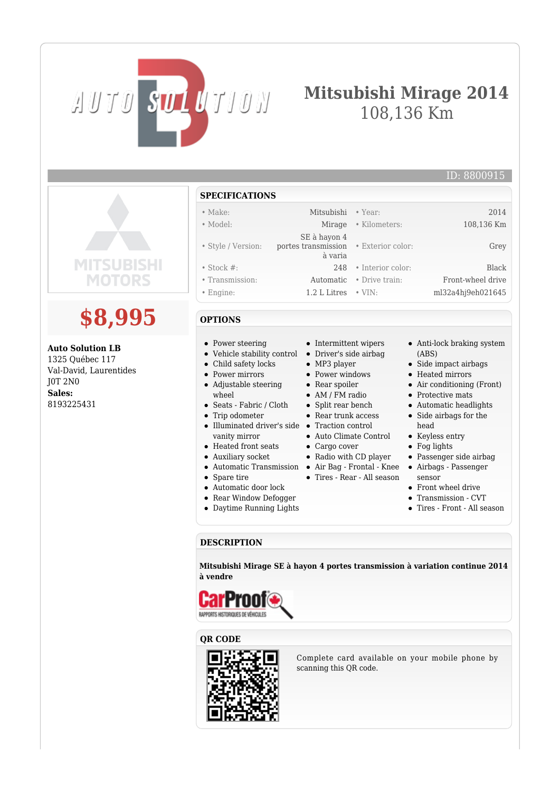# **Mitsubishi Mirage 2014** 108,136 Km

## ID: 8800915

| <b>SPECIFICATIONS</b> |                                       |                   |                   |
|-----------------------|---------------------------------------|-------------------|-------------------|
| $\bullet$ Make:       | Mitsubishi                            | $\bullet$ Year:   | 2014              |
| • Model:              | Mirage                                | • Kilometers:     | 108,136 Km        |
|                       | SE à hayon 4                          |                   |                   |
| • Style / Version:    | portes transmission • Exterior color: |                   | Grey              |
|                       | à varia                               |                   |                   |
| $\bullet$ Stock #:    | 248                                   | • Interior color: | <b>Black</b>      |
| • Transmission:       | Automatic                             | • Drive train:    | Front-wheel drive |
| $\bullet$ Engine:     | $1.2$ L Litres $\cdot$ VIN:           |                   | ml32a4hj9eh021645 |

#### **OPTIONS**

AUTO SUL UTION

**\$8,995**

**MOTORS** 

SURISHI

**Auto Solution LB** 1325 Québec 117 Val-David, Laurentides

J0T 2N0 **Sales:** 8193225431

- Power steering
- Vehicle stability control Driver's side airbag
- Child safety locks
- Power mirrors
- Adjustable steering wheel
- Seats Fabric / Cloth
- Trip odometer
- Illuminated driver's side Traction control vanity mirror
- Heated front seats
- Auxiliary socket
- Automatic Transmission Air Bag Frontal Knee Airbags Passenger
- Spare tire
- Automatic door lock
- Rear Window Defogger
- Daytime Running Lights
- Intermittent wipers
- 
- MP3 player
- Power windows • Rear spoiler
- AM / FM radio
- Split rear bench
- Rear trunk access
- 
- Auto Climate Control
- Cargo cover
- Radio with CD player
- 
- Tires Rear All season
- 
- Transmission CVT
- Tires Front All season

## **DESCRIPTION**

**Mitsubishi Mirage SE à hayon 4 portes transmission à variation continue 2014 à vendre**







Complete card available on your mobile phone by scanning this QR code.

- 
- Anti-lock braking system
- (ABS)
- Side impact airbags
- Heated mirrors
- Air conditioning (Front)
- Protective mats
- Automatic headlights Side airbags for the
- head
- Keyless entry
- Fog lights
- Passenger side airbag
- sensor
- Front wheel drive
- 
-